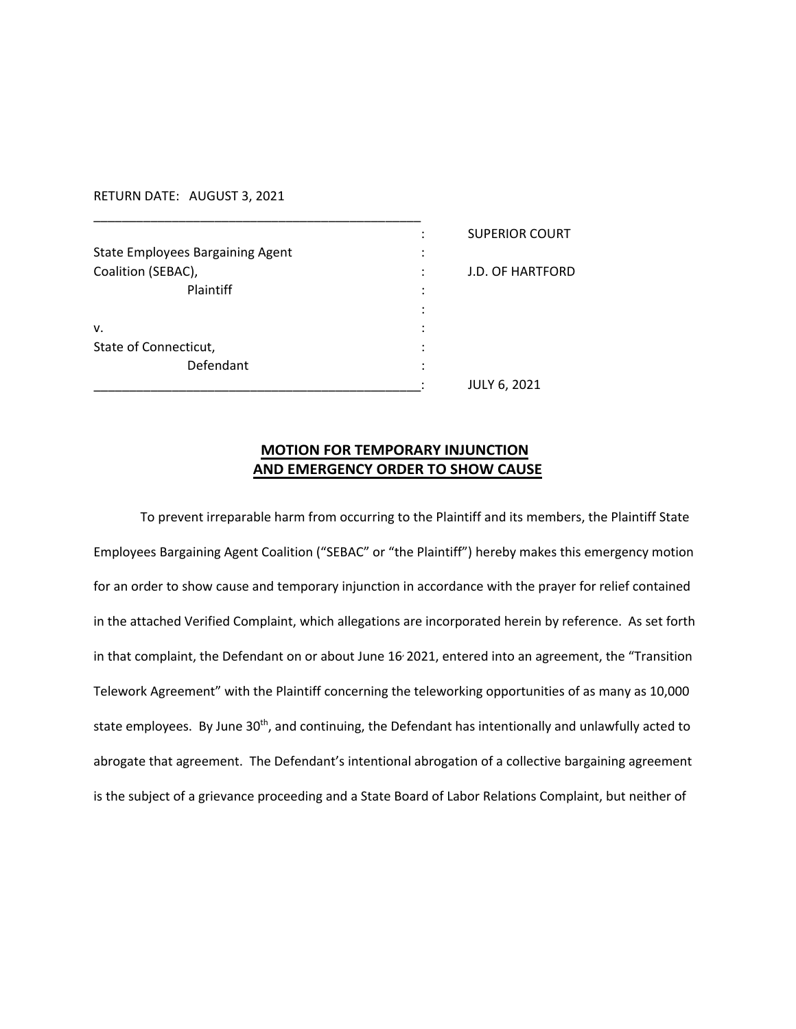RETURN DATE: AUGUST 3, 2021

|                                         | $\bullet$ | <b>SUPERIOR COURT</b>   |
|-----------------------------------------|-----------|-------------------------|
| <b>State Employees Bargaining Agent</b> | ٠<br>٠    |                         |
| Coalition (SEBAC),                      |           | <b>J.D. OF HARTFORD</b> |
| Plaintiff                               | ٠<br>٠    |                         |
|                                         | ٠         |                         |
| v.                                      |           |                         |
| State of Connecticut,                   |           |                         |
| Defendant                               | ٠         |                         |
|                                         |           | <b>JULY 6, 2021</b>     |

## **MOTION FOR TEMPORARY INJUNCTION AND EMERGENCY ORDER TO SHOW CAUSE**

To prevent irreparable harm from occurring to the Plaintiff and its members, the Plaintiff State Employees Bargaining Agent Coalition ("SEBAC" or "the Plaintiff") hereby makes this emergency motion for an order to show cause and temporary injunction in accordance with the prayer for relief contained in the attached Verified Complaint, which allegations are incorporated herein by reference. As set forth in that complaint, the Defendant on or about June 16<sup>,</sup> 2021, entered into an agreement, the "Transition Telework Agreement" with the Plaintiff concerning the teleworking opportunities of as many as 10,000 state employees. By June 30<sup>th</sup>, and continuing, the Defendant has intentionally and unlawfully acted to abrogate that agreement. The Defendant's intentional abrogation of a collective bargaining agreement is the subject of a grievance proceeding and a State Board of Labor Relations Complaint, but neither of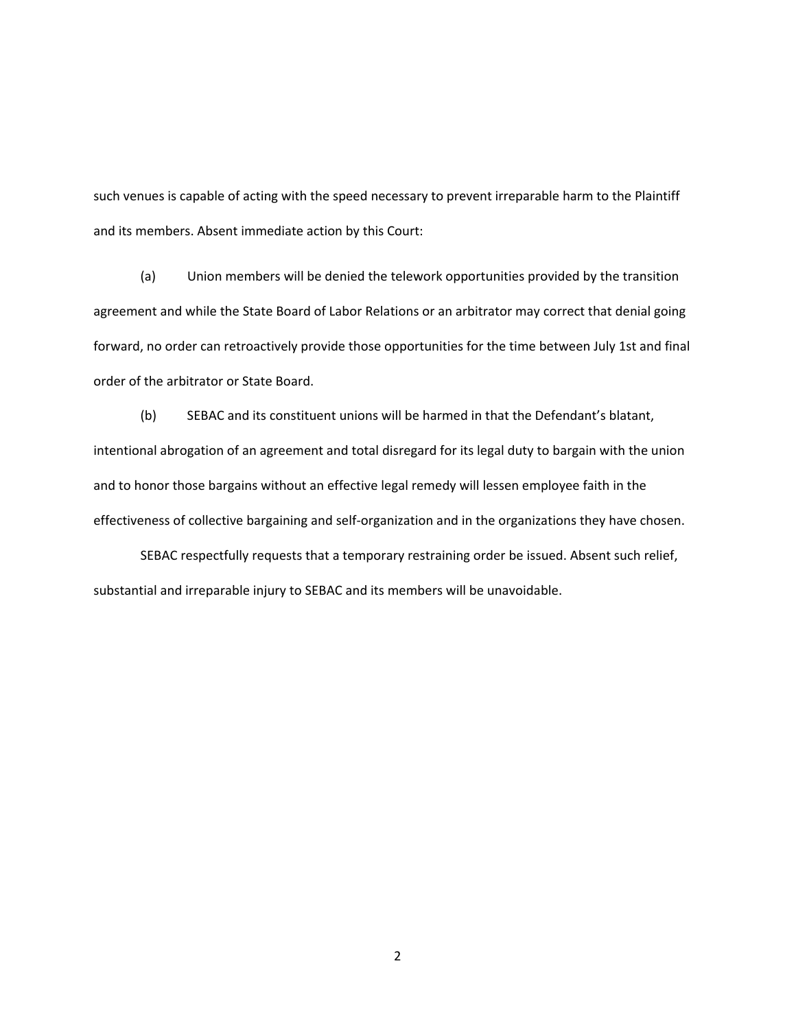such venues is capable of acting with the speed necessary to prevent irreparable harm to the Plaintiff and its members. Absent immediate action by this Court:

(a) Union members will be denied the telework opportunities provided by the transition agreement and while the State Board of Labor Relations or an arbitrator may correct that denial going forward, no order can retroactively provide those opportunities for the time between July 1st and final order of the arbitrator or State Board.

(b) SEBAC and its constituent unions will be harmed in that the Defendant's blatant, intentional abrogation of an agreement and total disregard for its legal duty to bargain with the union and to honor those bargains without an effective legal remedy will lessen employee faith in the effectiveness of collective bargaining and self-organization and in the organizations they have chosen.

SEBAC respectfully requests that a temporary restraining order be issued. Absent such relief, substantial and irreparable injury to SEBAC and its members will be unavoidable.

2